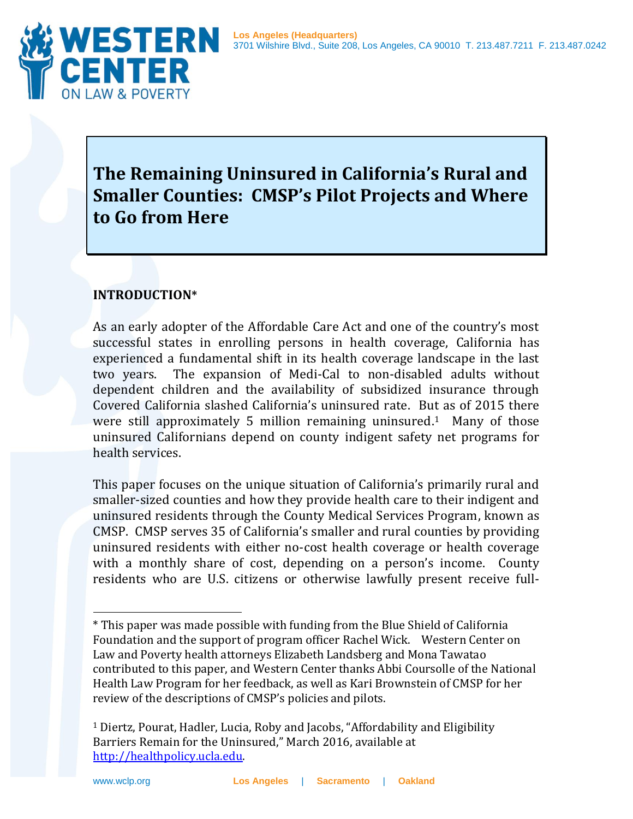

# **The Remaining Uninsured in California's Rural and Smaller Counties: CMSP's Pilot Projects and Where to Go from Here**

## **INTRODUCTION\***

As an early adopter of the Affordable Care Act and one of the country's most successful states in enrolling persons in health coverage, California has experienced a fundamental shift in its health coverage landscape in the last two years. The expansion of Medi-Cal to non-disabled adults without dependent children and the availability of subsidized insurance through Covered California slashed California's uninsured rate. But as of 2015 there were still approximately 5 million remaining uninsured.<sup>1</sup> Many of those uninsured Californians depend on county indigent safety net programs for health services.

This paper focuses on the unique situation of California's primarily rural and smaller-sized counties and how they provide health care to their indigent and uninsured residents through the County Medical Services Program, known as CMSP. CMSP serves 35 of California's smaller and rural counties by providing uninsured residents with either no-cost health coverage or health coverage with a monthly share of cost, depending on a person's income. County residents who are U.S. citizens or otherwise lawfully present receive full-

<sup>\*</sup> This paper was made possible with funding from the Blue Shield of California Foundation and the support of program officer Rachel Wick. Western Center on Law and Poverty health attorneys Elizabeth Landsberg and Mona Tawatao contributed to this paper, and Western Center thanks Abbi Coursolle of the National Health Law Program for her feedback, as well as Kari Brownstein of CMSP for her review of the descriptions of CMSP's policies and pilots.

<sup>1</sup> Diertz, Pourat, Hadler, Lucia, Roby and Jacobs, "Affordability and Eligibility Barriers Remain for the Uninsured," March 2016, available at [http://healthpolicy.ucla.edu.](http://healthpolicy.ucla.edu/)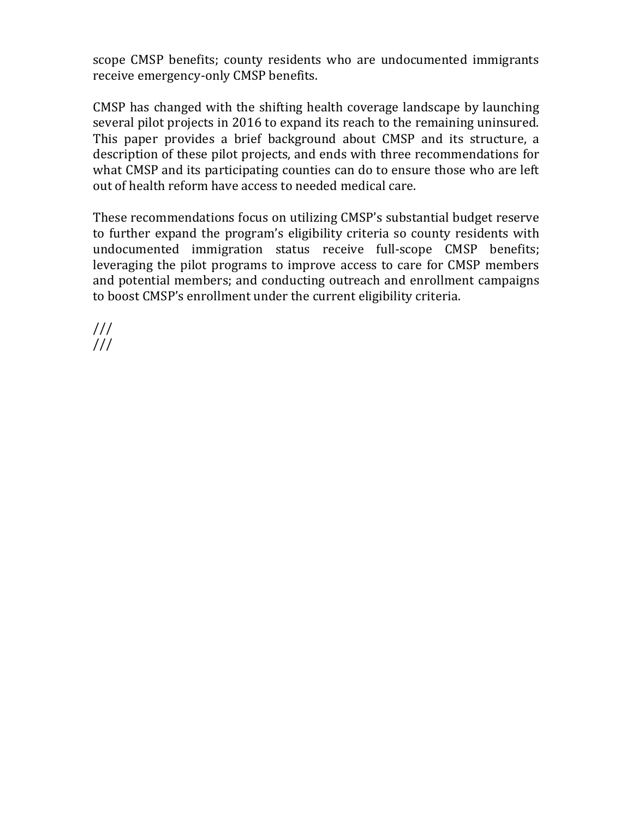scope CMSP benefits; county residents who are undocumented immigrants receive emergency-only CMSP benefits.

CMSP has changed with the shifting health coverage landscape by launching several pilot projects in 2016 to expand its reach to the remaining uninsured. This paper provides a brief background about CMSP and its structure, a description of these pilot projects, and ends with three recommendations for what CMSP and its participating counties can do to ensure those who are left out of health reform have access to needed medical care.

These recommendations focus on utilizing CMSP's substantial budget reserve to further expand the program's eligibility criteria so county residents with undocumented immigration status receive full-scope CMSP benefits; leveraging the pilot programs to improve access to care for CMSP members and potential members; and conducting outreach and enrollment campaigns to boost CMSP's enrollment under the current eligibility criteria.

/// ///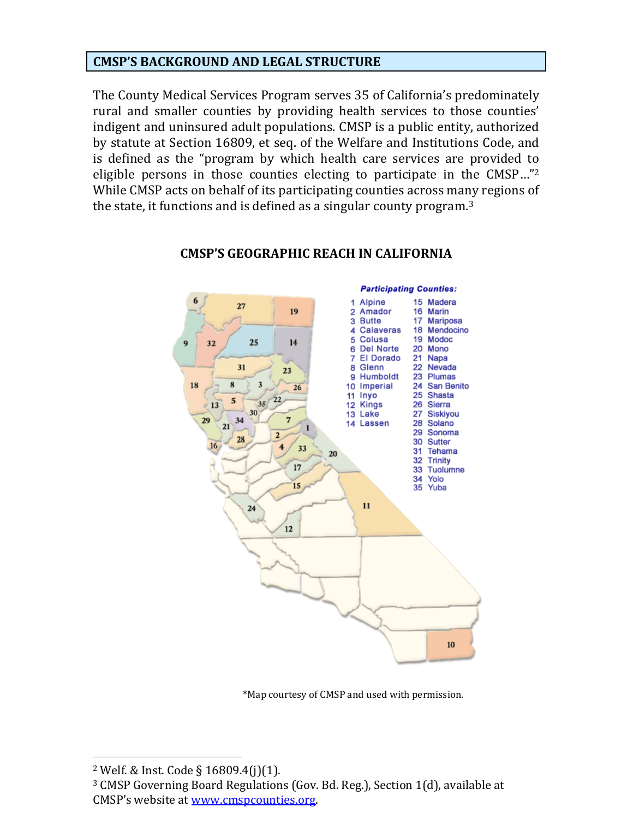#### **CMSP'S BACKGROUND AND LEGAL STRUCTURE**

The County Medical Services Program serves 35 of California's predominately rural and smaller counties by providing health services to those counties' indigent and uninsured adult populations. CMSP is a public entity, authorized by statute at Section 16809, et seq. of the Welfare and Institutions Code, and is defined as the "program by which health care services are provided to eligible persons in those counties electing to participate in the CMSP…"<sup>2</sup> While CMSP acts on behalf of its participating counties across many regions of the state, it functions and is defined as a singular county program.<sup>3</sup>



#### **CMSP'S GEOGRAPHIC REACH IN CALIFORNIA**

\*Map courtesy of CMSP and used with permission.

<sup>2</sup> Welf. & Inst. Code § 16809.4(j)(1).

<sup>3</sup> CMSP Governing Board Regulations (Gov. Bd. Reg.), Section 1(d), available at CMSP's website at [www.cmspcounties.org.](http://www.cmspcounties.org/)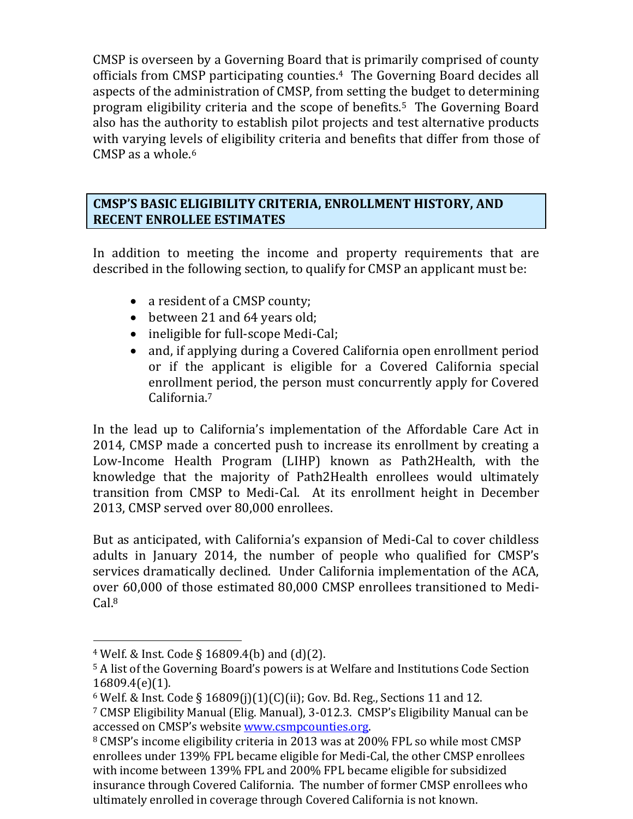CMSP is overseen by a Governing Board that is primarily comprised of county officials from CMSP participating counties. <sup>4</sup> The Governing Board decides all aspects of the administration of CMSP, from setting the budget to determining program eligibility criteria and the scope of benefits.<sup>5</sup> The Governing Board also has the authority to establish pilot projects and test alternative products with varying levels of eligibility criteria and benefits that differ from those of CMSP as a whole. 6

#### **CMSP'S BASIC ELIGIBILITY CRITERIA, ENROLLMENT HISTORY, AND RECENT ENROLLEE ESTIMATES**

In addition to meeting the income and property requirements that are described in the following section, to qualify for CMSP an applicant must be:

- a resident of a CMSP county;
- between 21 and 64 years old;
- ineligible for full-scope Medi-Cal;
- and, if applying during a Covered California open enrollment period or if the applicant is eligible for a Covered California special enrollment period, the person must concurrently apply for Covered California.<sup>7</sup>

In the lead up to California's implementation of the Affordable Care Act in 2014, CMSP made a concerted push to increase its enrollment by creating a Low-Income Health Program (LIHP) known as Path2Health, with the knowledge that the majority of Path2Health enrollees would ultimately transition from CMSP to Medi-Cal. At its enrollment height in December 2013, CMSP served over 80,000 enrollees.

But as anticipated, with California's expansion of Medi-Cal to cover childless adults in January 2014, the number of people who qualified for CMSP's services dramatically declined. Under California implementation of the ACA, over 60,000 of those estimated 80,000 CMSP enrollees transitioned to Medi- $Cal<sup>8</sup>$ 

<sup>4</sup> Welf. & Inst. Code § 16809.4(b) and (d)(2).

<sup>5</sup> A list of the Governing Board's powers is at Welfare and Institutions Code Section 16809.4(e)(1).

<sup>6</sup> Welf. & Inst. Code § 16809(j)(1)(C)(ii); Gov. Bd. Reg., Sections 11 and 12.

<sup>7</sup> CMSP Eligibility Manual (Elig. Manual), 3-012.3. CMSP's Eligibility Manual can be accessed on CMSP's website [www.csmpcounties.org.](http://www.csmpcounties.org/)

<sup>8</sup> CMSP's income eligibility criteria in 2013 was at 200% FPL so while most CMSP enrollees under 139% FPL became eligible for Medi-Cal, the other CMSP enrollees with income between 139% FPL and 200% FPL became eligible for subsidized insurance through Covered California. The number of former CMSP enrollees who ultimately enrolled in coverage through Covered California is not known.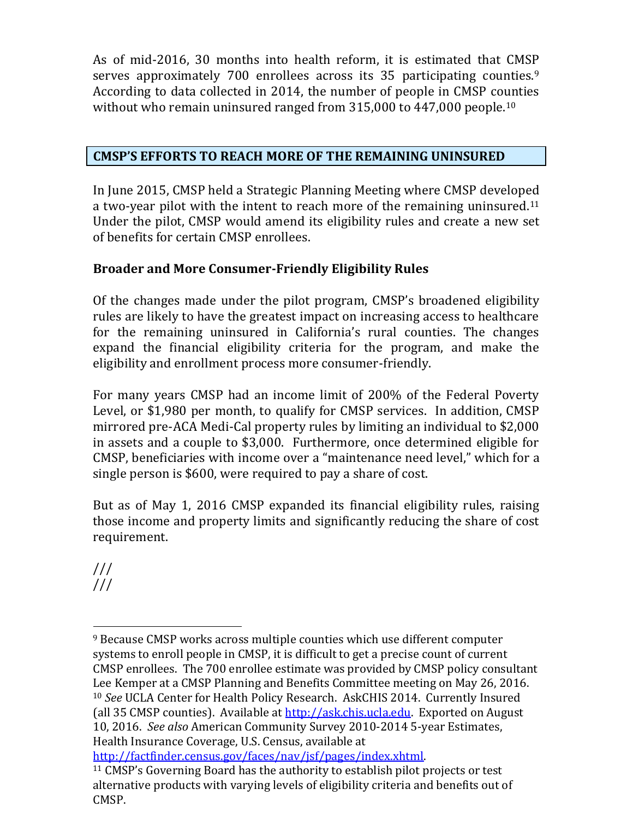As of mid-2016, 30 months into health reform, it is estimated that CMSP serves approximately 700 enrollees across its 35 participating counties.<sup>9</sup> According to data collected in 2014, the number of people in CMSP counties without who remain uninsured ranged from 315,000 to 447,000 people.<sup>10</sup>

# **CMSP'S EFFORTS TO REACH MORE OF THE REMAINING UNINSURED**

In June 2015, CMSP held a Strategic Planning Meeting where CMSP developed a two-year pilot with the intent to reach more of the remaining uninsured.<sup>11</sup> Under the pilot, CMSP would amend its eligibility rules and create a new set of benefits for certain CMSP enrollees.

# **Broader and More Consumer-Friendly Eligibility Rules**

Of the changes made under the pilot program, CMSP's broadened eligibility rules are likely to have the greatest impact on increasing access to healthcare for the remaining uninsured in California's rural counties. The changes expand the financial eligibility criteria for the program, and make the eligibility and enrollment process more consumer-friendly.

For many years CMSP had an income limit of 200% of the Federal Poverty Level, or \$1,980 per month, to qualify for CMSP services. In addition, CMSP mirrored pre-ACA Medi-Cal property rules by limiting an individual to \$2,000 in assets and a couple to \$3,000. Furthermore, once determined eligible for CMSP, beneficiaries with income over a "maintenance need level," which for a single person is \$600, were required to pay a share of cost.

But as of May 1, 2016 CMSP expanded its financial eligibility rules, raising those income and property limits and significantly reducing the share of cost requirement.

/// ///

[http://factfinder.census.gov/faces/nav/jsf/pages/index.xhtml.](http://factfinder.census.gov/faces/nav/jsf/pages/index.xhtml)

 $\overline{a}$ <sup>9</sup> Because CMSP works across multiple counties which use different computer systems to enroll people in CMSP, it is difficult to get a precise count of current CMSP enrollees. The 700 enrollee estimate was provided by CMSP policy consultant Lee Kemper at a CMSP Planning and Benefits Committee meeting on May 26, 2016. <sup>10</sup> *See* UCLA Center for Health Policy Research. AskCHIS 2014. Currently Insured (all 35 CMSP counties). Available at [http://ask.chis.ucla.edu.](http://ask.chis.ucla.edu/) Exported on August 10, 2016. *See also* American Community Survey 2010-2014 5-year Estimates, Health Insurance Coverage, U.S. Census, available at

<sup>11</sup> CMSP's Governing Board has the authority to establish pilot projects or test alternative products with varying levels of eligibility criteria and benefits out of CMSP.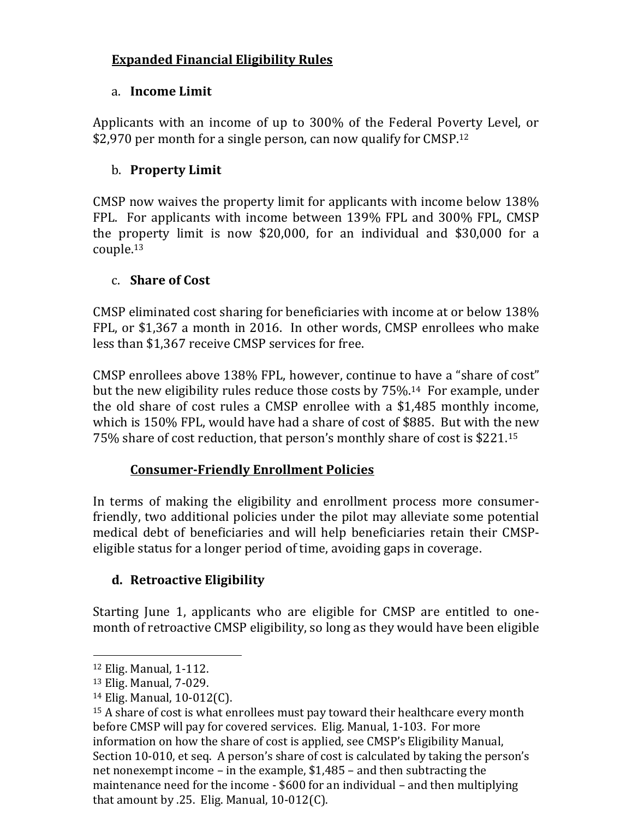# **Expanded Financial Eligibility Rules**

#### a. **Income Limit**

Applicants with an income of up to 300% of the Federal Poverty Level, or \$2,970 per month for a single person, can now qualify for CMSP.<sup>12</sup>

### b. **Property Limit**

CMSP now waives the property limit for applicants with income below 138% FPL. For applicants with income between 139% FPL and 300% FPL, CMSP the property limit is now \$20,000, for an individual and \$30,000 for a couple. 13

#### c. **Share of Cost**

CMSP eliminated cost sharing for beneficiaries with income at or below 138% FPL, or \$1,367 a month in 2016. In other words, CMSP enrollees who make less than \$1,367 receive CMSP services for free.

CMSP enrollees above 138% FPL, however, continue to have a "share of cost" but the new eligibility rules reduce those costs by 75%.14 For example, under the old share of cost rules a CMSP enrollee with a \$1,485 monthly income, which is 150% FPL, would have had a share of cost of \$885. But with the new 75% share of cost reduction, that person's monthly share of cost is \$221.<sup>15</sup>

## **Consumer-Friendly Enrollment Policies**

In terms of making the eligibility and enrollment process more consumerfriendly, two additional policies under the pilot may alleviate some potential medical debt of beneficiaries and will help beneficiaries retain their CMSPeligible status for a longer period of time, avoiding gaps in coverage.

## **d. Retroactive Eligibility**

Starting June 1, applicants who are eligible for CMSP are entitled to onemonth of retroactive CMSP eligibility, so long as they would have been eligible

<sup>12</sup> Elig. Manual, 1-112.

<sup>13</sup> Elig. Manual, 7-029.

<sup>14</sup> Elig. Manual, 10-012(C).

<sup>15</sup> A share of cost is what enrollees must pay toward their healthcare every month before CMSP will pay for covered services. Elig. Manual, 1-103. For more information on how the share of cost is applied, see CMSP's Eligibility Manual, Section 10-010, et seq. A person's share of cost is calculated by taking the person's net nonexempt income – in the example, \$1,485 – and then subtracting the maintenance need for the income - \$600 for an individual – and then multiplying that amount by .25. Elig. Manual,  $10-012(C)$ .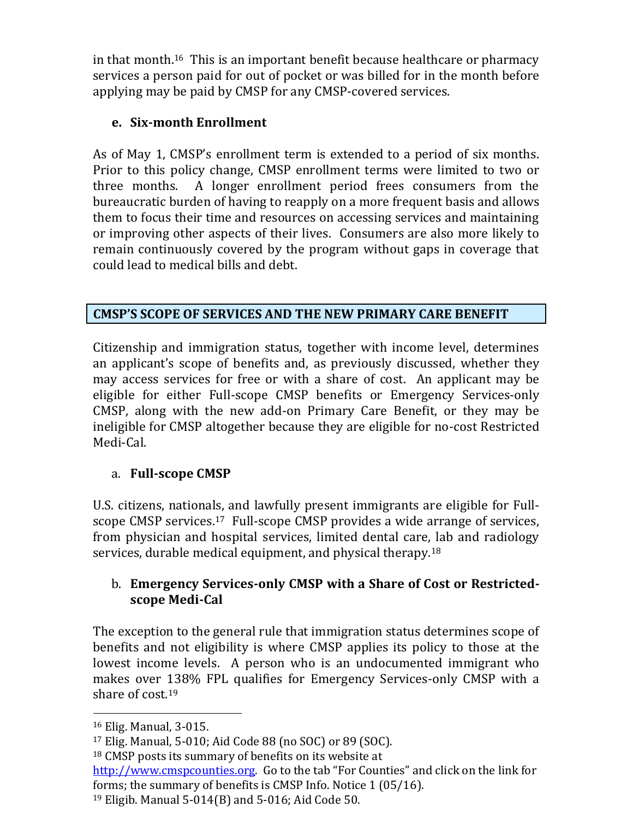in that month.16 This is an important benefit because healthcare or pharmacy services a person paid for out of pocket or was billed for in the month before applying may be paid by CMSP for any CMSP-covered services.

## **e. Six-month Enrollment**

As of May 1, CMSP's enrollment term is extended to a period of six months. Prior to this policy change, CMSP enrollment terms were limited to two or three months. A longer enrollment period frees consumers from the bureaucratic burden of having to reapply on a more frequent basis and allows them to focus their time and resources on accessing services and maintaining or improving other aspects of their lives. Consumers are also more likely to remain continuously covered by the program without gaps in coverage that could lead to medical bills and debt.

## **CMSP'S SCOPE OF SERVICES AND THE NEW PRIMARY CARE BENEFIT**

Citizenship and immigration status, together with income level, determines an applicant's scope of benefits and, as previously discussed, whether they may access services for free or with a share of cost. An applicant may be eligible for either Full-scope CMSP benefits or Emergency Services-only CMSP, along with the new add-on Primary Care Benefit, or they may be ineligible for CMSP altogether because they are eligible for no-cost Restricted Medi-Cal.

# a. **Full-scope CMSP**

U.S. citizens, nationals, and lawfully present immigrants are eligible for Fullscope CMSP services.17 Full-scope CMSP provides a wide arrange of services, from physician and hospital services, limited dental care, lab and radiology services, durable medical equipment, and physical therapy.<sup>18</sup>

## b. **Emergency Services-only CMSP with a Share of Cost or Restrictedscope Medi-Cal**

The exception to the general rule that immigration status determines scope of benefits and not eligibility is where CMSP applies its policy to those at the lowest income levels. A person who is an undocumented immigrant who makes over 138% FPL qualifies for Emergency Services-only CMSP with a share of cost.<sup>19</sup>

 $\overline{a}$ <sup>16</sup> Elig. Manual, 3-015.

<sup>17</sup> Elig. Manual, 5-010; Aid Code 88 (no SOC) or 89 (SOC).

<sup>18</sup> CMSP posts its summary of benefits on its website at

[http://www.cmspcounties.org](http://www.cmspcounties.org/). Go to the tab "For Counties" and click on the link for forms; the summary of benefits is CMSP Info. Notice 1 (05/16).

<sup>19</sup> Eligib. Manual 5-014(B) and 5-016; Aid Code 50.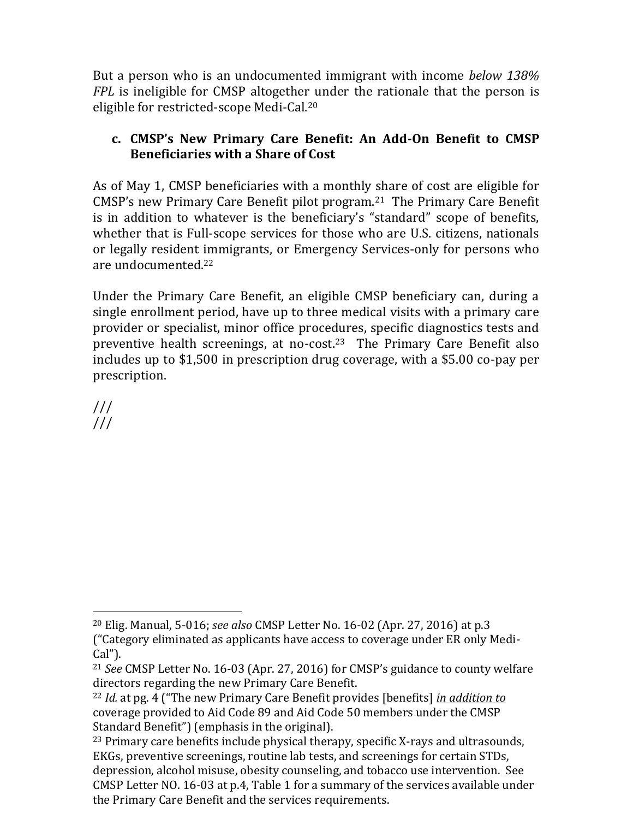But a person who is an undocumented immigrant with income *below 138% FPL* is ineligible for CMSP altogether under the rationale that the person is eligible for restricted-scope Medi-Cal.<sup>20</sup>

#### **c. CMSP's New Primary Care Benefit: An Add-On Benefit to CMSP Beneficiaries with a Share of Cost**

As of May 1, CMSP beneficiaries with a monthly share of cost are eligible for CMSP's new Primary Care Benefit pilot program.21 The Primary Care Benefit is in addition to whatever is the beneficiary's "standard" scope of benefits, whether that is Full-scope services for those who are U.S. citizens, nationals or legally resident immigrants, or Emergency Services-only for persons who are undocumented. 22

Under the Primary Care Benefit, an eligible CMSP beneficiary can, during a single enrollment period, have up to three medical visits with a primary care provider or specialist, minor office procedures, specific diagnostics tests and preventive health screenings, at no-cost.<sup>23</sup> The Primary Care Benefit also includes up to \$1,500 in prescription drug coverage, with a \$5.00 co-pay per prescription.

/// ///

<sup>20</sup> Elig. Manual, 5-016; *see also* CMSP Letter No. 16-02 (Apr. 27, 2016) at p.3 ("Category eliminated as applicants have access to coverage under ER only Medi-Cal").

<sup>21</sup> *See* CMSP Letter No. 16-03 (Apr. 27, 2016) for CMSP's guidance to county welfare directors regarding the new Primary Care Benefit.

<sup>22</sup> *Id.* at pg. 4 ("The new Primary Care Benefit provides [benefits] *in addition to* coverage provided to Aid Code 89 and Aid Code 50 members under the CMSP Standard Benefit") (emphasis in the original).

<sup>23</sup> Primary care benefits include physical therapy, specific X-rays and ultrasounds, EKGs, preventive screenings, routine lab tests, and screenings for certain STDs, depression, alcohol misuse, obesity counseling, and tobacco use intervention. See CMSP Letter NO. 16-03 at p.4, Table 1 for a summary of the services available under the Primary Care Benefit and the services requirements.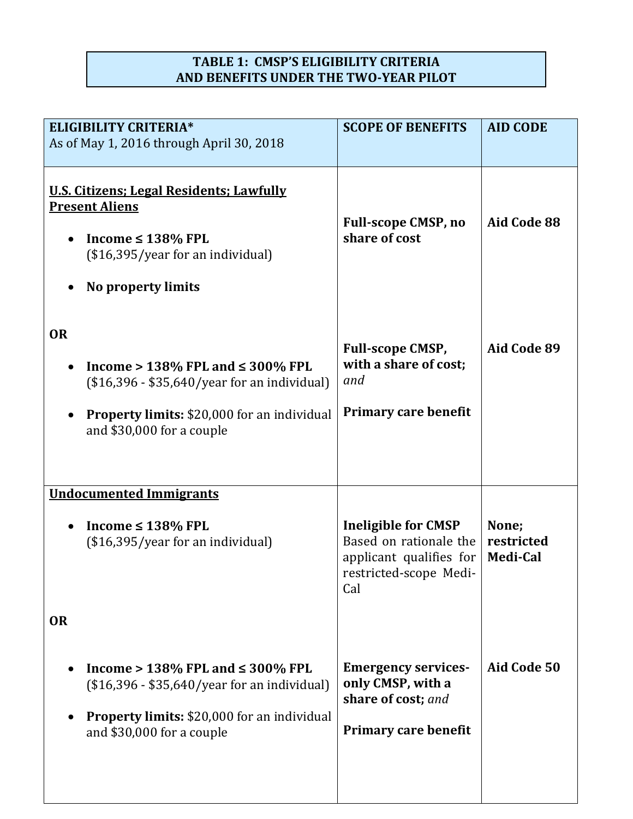## **TABLE 1: CMSP'S ELIGIBILITY CRITERIA AND BENEFITS UNDER THE TWO-YEAR PILOT**

| <b>ELIGIBILITY CRITERIA*</b>             |                                                                                                                                                                               | <b>SCOPE OF BENEFITS</b>                                                                                         | <b>AID CODE</b>                        |
|------------------------------------------|-------------------------------------------------------------------------------------------------------------------------------------------------------------------------------|------------------------------------------------------------------------------------------------------------------|----------------------------------------|
| As of May 1, 2016 through April 30, 2018 |                                                                                                                                                                               |                                                                                                                  |                                        |
|                                          |                                                                                                                                                                               |                                                                                                                  |                                        |
| <b>Present Aliens</b>                    | U.S. Citizens; Legal Residents; Lawfully<br>Income $\leq 138\%$ FPL<br>$($16,395/year$ for an individual)<br>No property limits                                               | <b>Full-scope CMSP, no</b><br>share of cost                                                                      | Aid Code 88                            |
| <b>OR</b>                                | Income > $138\%$ FPL and $\leq 300\%$ FPL<br>$($16,396 - $35,640/year$ for an individual)<br><b>Property limits: \$20,000 for an individual</b><br>and \$30,000 for a couple  | <b>Full-scope CMSP,</b><br>with a share of cost;<br>and<br><b>Primary care benefit</b>                           | Aid Code 89                            |
| <b>Undocumented Immigrants</b>           |                                                                                                                                                                               |                                                                                                                  |                                        |
|                                          | Income $\leq 138\%$ FPL<br>$($16,395/year$ for an individual)                                                                                                                 | <b>Ineligible for CMSP</b><br>Based on rationale the<br>applicant qualifies for<br>restricted-scope Medi-<br>Cal | None;<br>restricted<br><b>Medi-Cal</b> |
| <b>OR</b>                                |                                                                                                                                                                               |                                                                                                                  |                                        |
|                                          | Income > $138\%$ FPL and $\leq 300\%$ FPL<br>$($16,396 - $35,640/year$ for an individual)<br><b>Property limits: \$20,000 for an individual</b><br>and $$30,000$ for a couple | <b>Emergency services-</b><br>only CMSP, with a<br>share of cost; and<br><b>Primary care benefit</b>             | Aid Code 50                            |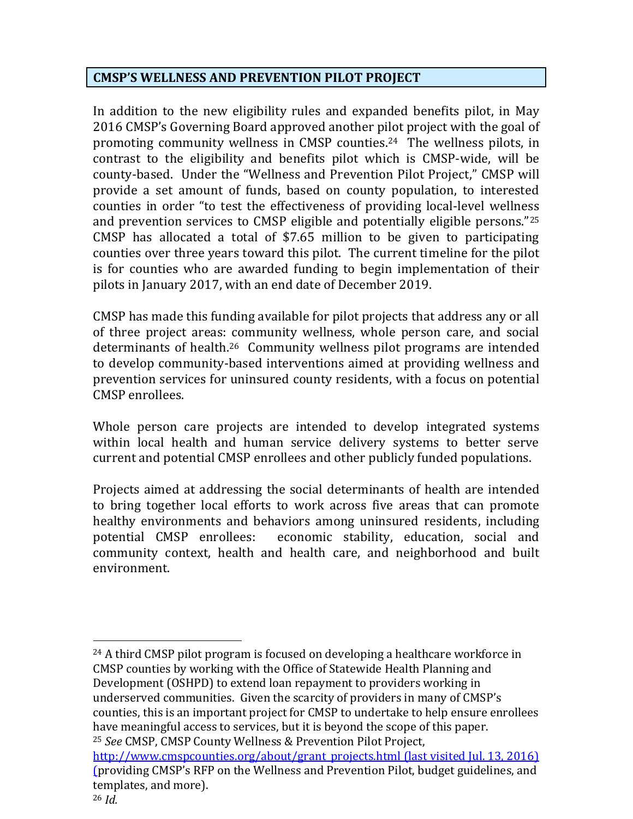#### **CMSP'S WELLNESS AND PREVENTION PILOT PROJECT**

In addition to the new eligibility rules and expanded benefits pilot, in May 2016 CMSP's Governing Board approved another pilot project with the goal of promoting community wellness in CMSP counties. <sup>24</sup> The wellness pilots, in contrast to the eligibility and benefits pilot which is CMSP-wide, will be county-based. Under the "Wellness and Prevention Pilot Project," CMSP will provide a set amount of funds, based on county population, to interested counties in order "to test the effectiveness of providing local-level wellness and prevention services to CMSP eligible and potentially eligible persons."<sup>25</sup> CMSP has allocated a total of \$7.65 million to be given to participating counties over three years toward this pilot. The current timeline for the pilot is for counties who are awarded funding to begin implementation of their pilots in January 2017, with an end date of December 2019.

CMSP has made this funding available for pilot projects that address any or all of three project areas: community wellness, whole person care, and social determinants of health.<sup>26</sup> Community wellness pilot programs are intended to develop community-based interventions aimed at providing wellness and prevention services for uninsured county residents, with a focus on potential CMSP enrollees.

Whole person care projects are intended to develop integrated systems within local health and human service delivery systems to better serve current and potential CMSP enrollees and other publicly funded populations.

Projects aimed at addressing the social determinants of health are intended to bring together local efforts to work across five areas that can promote healthy environments and behaviors among uninsured residents, including potential CMSP enrollees: economic stability, education, social and community context, health and health care, and neighborhood and built environment.

<sup>24</sup> A third CMSP pilot program is focused on developing a healthcare workforce in CMSP counties by working with the Office of Statewide Health Planning and Development (OSHPD) to extend loan repayment to providers working in underserved communities. Given the scarcity of providers in many of CMSP's counties, this is an important project for CMSP to undertake to help ensure enrollees have meaningful access to services, but it is beyond the scope of this paper. <sup>25</sup> *See* CMSP, CMSP County Wellness & Prevention Pilot Project,

[http://www.cmspcounties.org/about/grant\\_projects.html](http://www.cmspcounties.org/about/grant_projects.html) (last visited Jul. 13, 2016) (providing CMSP's RFP on the Wellness and Prevention Pilot, budget guidelines, and templates, and more).

<sup>26</sup> *Id.*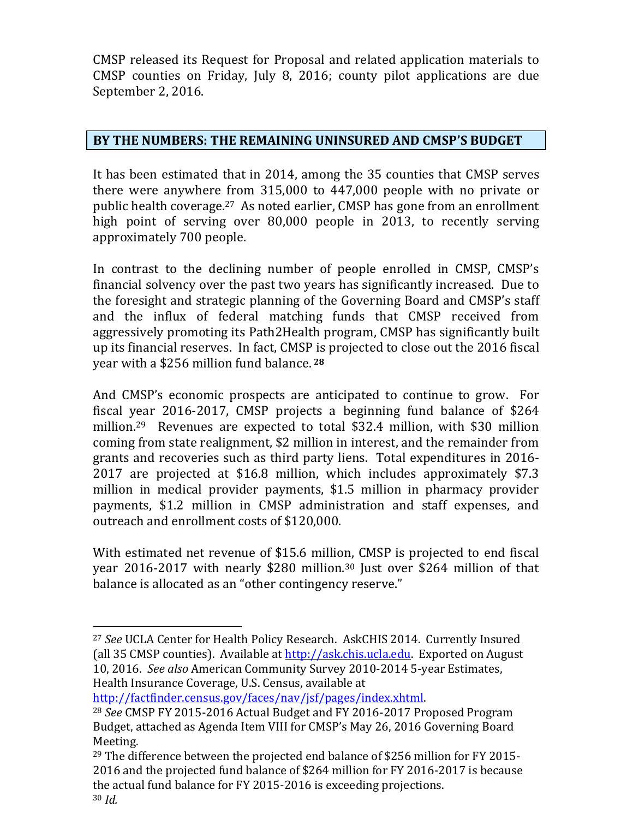CMSP released its Request for Proposal and related application materials to CMSP counties on Friday, July 8, 2016; county pilot applications are due September 2, 2016.

#### **BY THE NUMBERS: THE REMAINING UNINSURED AND CMSP'S BUDGET**

It has been estimated that in 2014, among the 35 counties that CMSP serves there were anywhere from 315,000 to 447,000 people with no private or public health coverage.27 As noted earlier, CMSP has gone from an enrollment high point of serving over 80,000 people in 2013, to recently serving approximately 700 people.

In contrast to the declining number of people enrolled in CMSP, CMSP's financial solvency over the past two years has significantly increased. Due to the foresight and strategic planning of the Governing Board and CMSP's staff and the influx of federal matching funds that CMSP received from aggressively promoting its Path2Health program, CMSP has significantly built up its financial reserves. In fact, CMSP is projected to close out the 2016 fiscal year with a \$256 million fund balance. **<sup>28</sup>**

And CMSP's economic prospects are anticipated to continue to grow. For fiscal year 2016-2017, CMSP projects a beginning fund balance of \$264 million.29 Revenues are expected to total \$32.4 million, with \$30 million coming from state realignment, \$2 million in interest, and the remainder from grants and recoveries such as third party liens. Total expenditures in 2016- 2017 are projected at \$16.8 million, which includes approximately \$7.3 million in medical provider payments, \$1.5 million in pharmacy provider payments, \$1.2 million in CMSP administration and staff expenses, and outreach and enrollment costs of \$120,000.

With estimated net revenue of \$15.6 million, CMSP is projected to end fiscal year 2016-2017 with nearly \$280 million.<sup>30</sup> Just over \$264 million of that balance is allocated as an "other contingency reserve."

[http://factfinder.census.gov/faces/nav/jsf/pages/index.xhtml.](http://factfinder.census.gov/faces/nav/jsf/pages/index.xhtml)

<sup>27</sup> *See* UCLA Center for Health Policy Research. AskCHIS 2014. Currently Insured (all 35 CMSP counties). Available at [http://ask.chis.ucla.edu.](http://ask.chis.ucla.edu/) Exported on August 10, 2016. *See also* American Community Survey 2010-2014 5-year Estimates, Health Insurance Coverage, U.S. Census, available at

<sup>28</sup> *See* CMSP FY 2015-2016 Actual Budget and FY 2016-2017 Proposed Program Budget, attached as Agenda Item VIII for CMSP's May 26, 2016 Governing Board Meeting.

<sup>29</sup> The difference between the projected end balance of \$256 million for FY 2015- 2016 and the projected fund balance of \$264 million for FY 2016-2017 is because the actual fund balance for FY 2015-2016 is exceeding projections. <sup>30</sup> *Id.*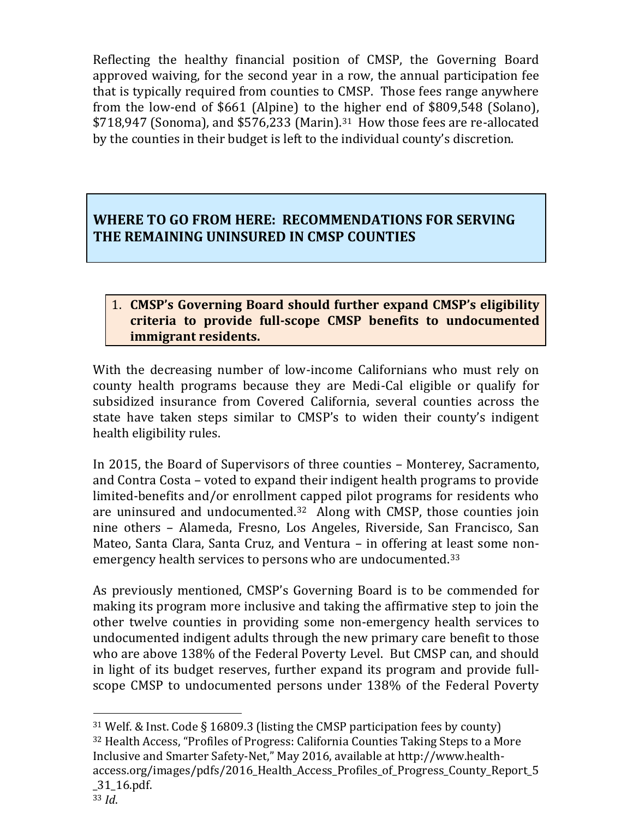Reflecting the healthy financial position of CMSP, the Governing Board approved waiving, for the second year in a row, the annual participation fee that is typically required from counties to CMSP. Those fees range anywhere from the low-end of \$661 (Alpine) to the higher end of \$809,548 (Solano), \$718,947 (Sonoma), and \$576,233 (Marin).31 How those fees are re-allocated by the counties in their budget is left to the individual county's discretion.

# **WHERE TO GO FROM HERE: RECOMMENDATIONS FOR SERVING THE REMAINING UNINSURED IN CMSP COUNTIES**

#### 1. **CMSP's Governing Board should further expand CMSP's eligibility criteria to provide full-scope CMSP benefits to undocumented immigrant residents.**

With the decreasing number of low-income Californians who must rely on county health programs because they are Medi-Cal eligible or qualify for subsidized insurance from Covered California, several counties across the state have taken steps similar to CMSP's to widen their county's indigent health eligibility rules.

In 2015, the Board of Supervisors of three counties – Monterey, Sacramento, and Contra Costa – voted to expand their indigent health programs to provide limited-benefits and/or enrollment capped pilot programs for residents who are uninsured and undocumented.32 Along with CMSP, those counties join nine others – Alameda, Fresno, Los Angeles, Riverside, San Francisco, San Mateo, Santa Clara, Santa Cruz, and Ventura – in offering at least some nonemergency health services to persons who are undocumented.<sup>33</sup>

As previously mentioned, CMSP's Governing Board is to be commended for making its program more inclusive and taking the affirmative step to join the other twelve counties in providing some non-emergency health services to undocumented indigent adults through the new primary care benefit to those who are above 138% of the Federal Poverty Level. But CMSP can, and should in light of its budget reserves, further expand its program and provide fullscope CMSP to undocumented persons under 138% of the Federal Poverty

<sup>31</sup> Welf. & Inst. Code § 16809.3 (listing the CMSP participation fees by county) <sup>32</sup> Health Access, "Profiles of Progress: California Counties Taking Steps to a More Inclusive and Smarter Safety-Net," May 2016, available at http://www.healthaccess.org/images/pdfs/2016\_Health\_Access\_Profiles\_of\_Progress\_County\_Report\_5 \_31\_16.pdf.

<sup>33</sup> *Id*.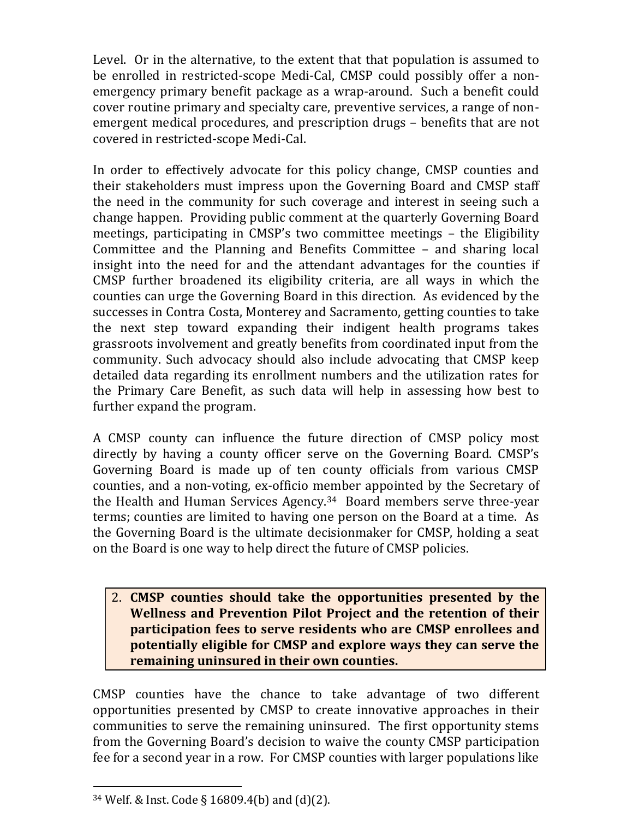Level. Or in the alternative, to the extent that that population is assumed to be enrolled in restricted-scope Medi-Cal, CMSP could possibly offer a nonemergency primary benefit package as a wrap-around. Such a benefit could cover routine primary and specialty care, preventive services, a range of nonemergent medical procedures, and prescription drugs – benefits that are not covered in restricted-scope Medi-Cal.

In order to effectively advocate for this policy change, CMSP counties and their stakeholders must impress upon the Governing Board and CMSP staff the need in the community for such coverage and interest in seeing such a change happen. Providing public comment at the quarterly Governing Board meetings, participating in CMSP's two committee meetings – the Eligibility Committee and the Planning and Benefits Committee – and sharing local insight into the need for and the attendant advantages for the counties if CMSP further broadened its eligibility criteria, are all ways in which the counties can urge the Governing Board in this direction. As evidenced by the successes in Contra Costa, Monterey and Sacramento, getting counties to take the next step toward expanding their indigent health programs takes grassroots involvement and greatly benefits from coordinated input from the community. Such advocacy should also include advocating that CMSP keep detailed data regarding its enrollment numbers and the utilization rates for the Primary Care Benefit, as such data will help in assessing how best to further expand the program.

A CMSP county can influence the future direction of CMSP policy most directly by having a county officer serve on the Governing Board. CMSP's Governing Board is made up of ten county officials from various CMSP counties, and a non-voting, ex-officio member appointed by the Secretary of the Health and Human Services Agency.34 Board members serve three-year terms; counties are limited to having one person on the Board at a time. As the Governing Board is the ultimate decisionmaker for CMSP, holding a seat on the Board is one way to help direct the future of CMSP policies.

#### 2. **CMSP counties should take the opportunities presented by the Wellness and Prevention Pilot Project and the retention of their participation fees to serve residents who are CMSP enrollees and potentially eligible for CMSP and explore ways they can serve the remaining uninsured in their own counties.**

CMSP counties have the chance to take advantage of two different opportunities presented by CMSP to create innovative approaches in their communities to serve the remaining uninsured. The first opportunity stems from the Governing Board's decision to waive the county CMSP participation fee for a second year in a row. For CMSP counties with larger populations like

<sup>34</sup> Welf. & Inst. Code § 16809.4(b) and (d)(2).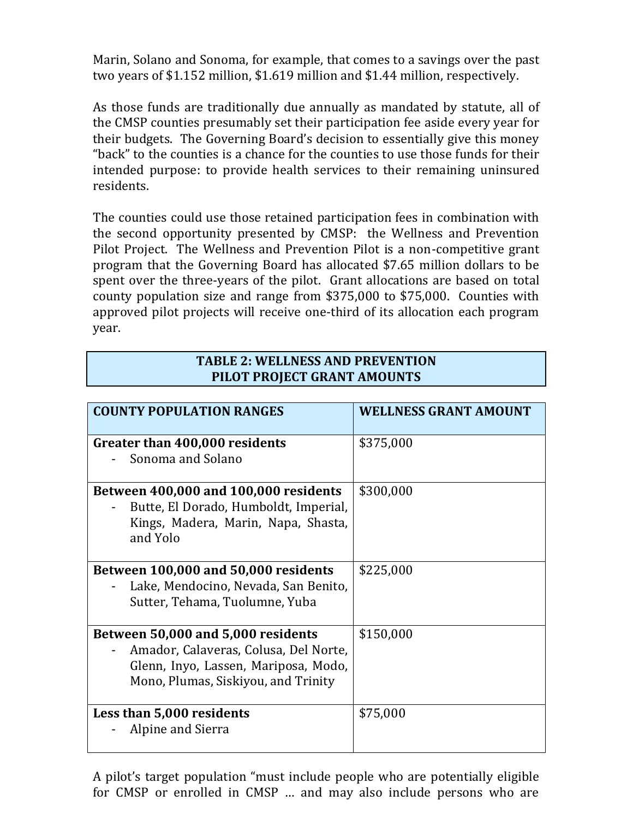Marin, Solano and Sonoma, for example, that comes to a savings over the past two years of \$1.152 million, \$1.619 million and \$1.44 million, respectively.

As those funds are traditionally due annually as mandated by statute, all of the CMSP counties presumably set their participation fee aside every year for their budgets. The Governing Board's decision to essentially give this money "back" to the counties is a chance for the counties to use those funds for their intended purpose: to provide health services to their remaining uninsured residents.

The counties could use those retained participation fees in combination with the second opportunity presented by CMSP: the Wellness and Prevention Pilot Project. The Wellness and Prevention Pilot is a non-competitive grant program that the Governing Board has allocated \$7.65 million dollars to be spent over the three-years of the pilot. Grant allocations are based on total county population size and range from \$375,000 to \$75,000. Counties with approved pilot projects will receive one-third of its allocation each program year.

#### **TABLE 2: WELLNESS AND PREVENTION PILOT PROJECT GRANT AMOUNTS**

| <b>COUNTY POPULATION RANGES</b>                                                                                                                            | <b>WELLNESS GRANT AMOUNT</b> |
|------------------------------------------------------------------------------------------------------------------------------------------------------------|------------------------------|
| Greater than 400,000 residents<br>Sonoma and Solano                                                                                                        | \$375,000                    |
| Between 400,000 and 100,000 residents<br>Butte, El Dorado, Humboldt, Imperial,<br>Kings, Madera, Marin, Napa, Shasta,<br>and Yolo                          | \$300,000                    |
| Between 100,000 and 50,000 residents<br>Lake, Mendocino, Nevada, San Benito,<br>Sutter, Tehama, Tuolumne, Yuba                                             | \$225,000                    |
| Between 50,000 and 5,000 residents<br>Amador, Calaveras, Colusa, Del Norte,<br>Glenn, Inyo, Lassen, Mariposa, Modo,<br>Mono, Plumas, Siskiyou, and Trinity | \$150,000                    |
| Less than 5,000 residents<br>Alpine and Sierra                                                                                                             | \$75,000                     |

A pilot's target population "must include people who are potentially eligible for CMSP or enrolled in CMSP … and may also include persons who are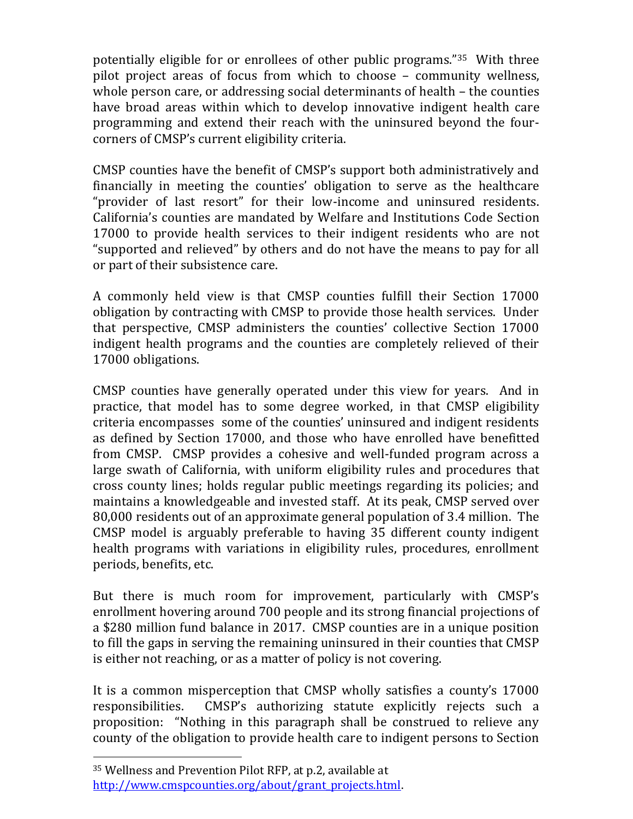potentially eligible for or enrollees of other public programs."35 With three pilot project areas of focus from which to choose – community wellness, whole person care, or addressing social determinants of health – the counties have broad areas within which to develop innovative indigent health care programming and extend their reach with the uninsured beyond the fourcorners of CMSP's current eligibility criteria.

CMSP counties have the benefit of CMSP's support both administratively and financially in meeting the counties' obligation to serve as the healthcare "provider of last resort" for their low-income and uninsured residents. California's counties are mandated by Welfare and Institutions Code Section 17000 to provide health services to their indigent residents who are not "supported and relieved" by others and do not have the means to pay for all or part of their subsistence care.

A commonly held view is that CMSP counties fulfill their Section 17000 obligation by contracting with CMSP to provide those health services. Under that perspective, CMSP administers the counties' collective Section 17000 indigent health programs and the counties are completely relieved of their 17000 obligations.

CMSP counties have generally operated under this view for years. And in practice, that model has to some degree worked, in that CMSP eligibility criteria encompasses some of the counties' uninsured and indigent residents as defined by Section 17000, and those who have enrolled have benefitted from CMSP. CMSP provides a cohesive and well-funded program across a large swath of California, with uniform eligibility rules and procedures that cross county lines; holds regular public meetings regarding its policies; and maintains a knowledgeable and invested staff. At its peak, CMSP served over 80,000 residents out of an approximate general population of 3.4 million. The CMSP model is arguably preferable to having 35 different county indigent health programs with variations in eligibility rules, procedures, enrollment periods, benefits, etc.

But there is much room for improvement, particularly with CMSP's enrollment hovering around 700 people and its strong financial projections of a \$280 million fund balance in 2017. CMSP counties are in a unique position to fill the gaps in serving the remaining uninsured in their counties that CMSP is either not reaching, or as a matter of policy is not covering.

It is a common misperception that CMSP wholly satisfies a county's 17000 responsibilities. CMSP's authorizing statute explicitly rejects such a proposition: "Nothing in this paragraph shall be construed to relieve any county of the obligation to provide health care to indigent persons to Section

<sup>35</sup> Wellness and Prevention Pilot RFP, at p.2, available at [http://www.cmspcounties.org/about/grant\\_projects.html.](http://www.cmspcounties.org/about/grant_projects.html)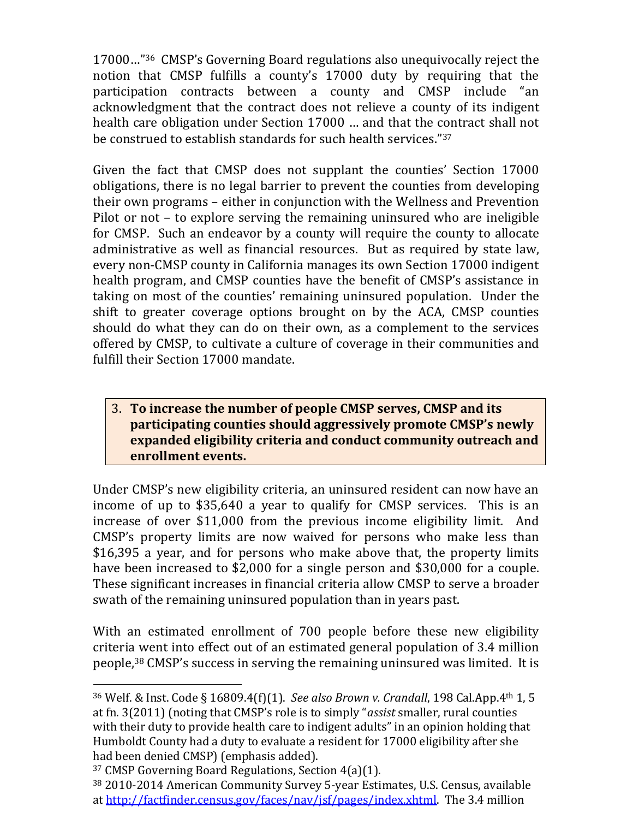17000…"36 CMSP's Governing Board regulations also unequivocally reject the notion that CMSP fulfills a county's 17000 duty by requiring that the participation contracts between a county and CMSP include "an acknowledgment that the contract does not relieve a county of its indigent health care obligation under Section 17000 … and that the contract shall not be construed to establish standards for such health services."<sup>37</sup>

Given the fact that CMSP does not supplant the counties' Section 17000 obligations, there is no legal barrier to prevent the counties from developing their own programs – either in conjunction with the Wellness and Prevention Pilot or not – to explore serving the remaining uninsured who are ineligible for CMSP. Such an endeavor by a county will require the county to allocate administrative as well as financial resources. But as required by state law, every non-CMSP county in California manages its own Section 17000 indigent health program, and CMSP counties have the benefit of CMSP's assistance in taking on most of the counties' remaining uninsured population. Under the shift to greater coverage options brought on by the ACA, CMSP counties should do what they can do on their own, as a complement to the services offered by CMSP, to cultivate a culture of coverage in their communities and fulfill their Section 17000 mandate.

#### 3. **To increase the number of people CMSP serves, CMSP and its participating counties should aggressively promote CMSP's newly expanded eligibility criteria and conduct community outreach and enrollment events.**

Under CMSP's new eligibility criteria, an uninsured resident can now have an income of up to \$35,640 a year to qualify for CMSP services. This is an increase of over \$11,000 from the previous income eligibility limit. And CMSP's property limits are now waived for persons who make less than \$16,395 a year, and for persons who make above that, the property limits have been increased to \$2,000 for a single person and \$30,000 for a couple. These significant increases in financial criteria allow CMSP to serve a broader swath of the remaining uninsured population than in years past.

With an estimated enrollment of 700 people before these new eligibility criteria went into effect out of an estimated general population of 3.4 million people,<sup>38</sup> CMSP's success in serving the remaining uninsured was limited. It is

<sup>36</sup> Welf. & Inst. Code § 16809.4(f)(1). *See also Brown v. Crandall*, 198 Cal.App.4th 1, 5 at fn. 3(2011) (noting that CMSP's role is to simply "*assist* smaller, rural counties with their duty to provide health care to indigent adults" in an opinion holding that Humboldt County had a duty to evaluate a resident for 17000 eligibility after she had been denied CMSP) (emphasis added).

<sup>37</sup> CMSP Governing Board Regulations, Section 4(a)(1).

<sup>38</sup> 2010-2014 American Community Survey 5-year Estimates, U.S. Census, available at [http://factfinder.census.gov/faces/nav/jsf/pages/index.xhtml.](http://factfinder.census.gov/faces/nav/jsf/pages/index.xhtml) The 3.4 million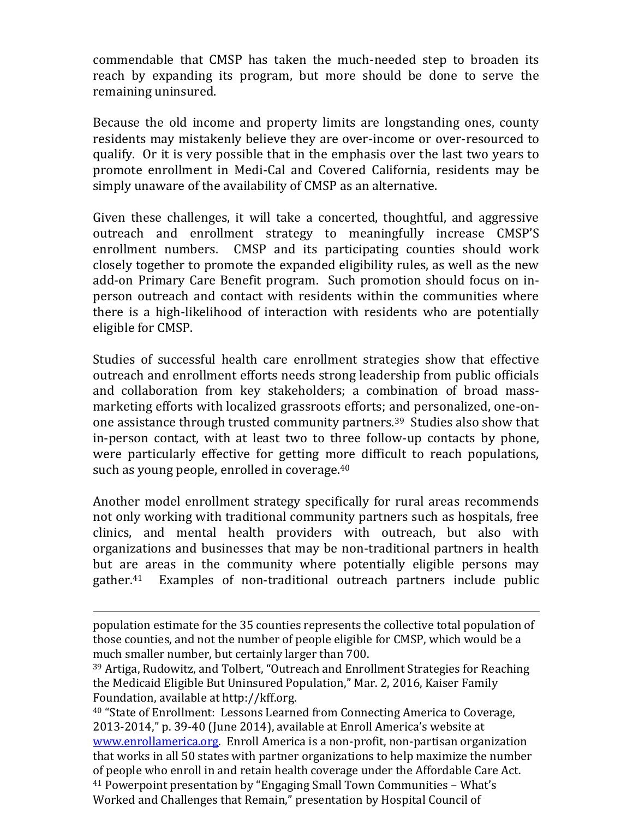commendable that CMSP has taken the much-needed step to broaden its reach by expanding its program, but more should be done to serve the remaining uninsured.

Because the old income and property limits are longstanding ones, county residents may mistakenly believe they are over-income or over-resourced to qualify. Or it is very possible that in the emphasis over the last two years to promote enrollment in Medi-Cal and Covered California, residents may be simply unaware of the availability of CMSP as an alternative.

Given these challenges, it will take a concerted, thoughtful, and aggressive outreach and enrollment strategy to meaningfully increase CMSP'S enrollment numbers. CMSP and its participating counties should work closely together to promote the expanded eligibility rules, as well as the new add-on Primary Care Benefit program. Such promotion should focus on inperson outreach and contact with residents within the communities where there is a high-likelihood of interaction with residents who are potentially eligible for CMSP.

Studies of successful health care enrollment strategies show that effective outreach and enrollment efforts needs strong leadership from public officials and collaboration from key stakeholders; a combination of broad massmarketing efforts with localized grassroots efforts; and personalized, one-onone assistance through trusted community partners.39 Studies also show that in-person contact, with at least two to three follow-up contacts by phone, were particularly effective for getting more difficult to reach populations, such as young people, enrolled in coverage.<sup>40</sup>

Another model enrollment strategy specifically for rural areas recommends not only working with traditional community partners such as hospitals, free clinics, and mental health providers with outreach, but also with organizations and businesses that may be non-traditional partners in health but are areas in the community where potentially eligible persons may gather.41 Examples of non-traditional outreach partners include public

l

<sup>40</sup> "State of Enrollment: Lessons Learned from Connecting America to Coverage, 2013-2014," p. 39-40 (June 2014), available at Enroll America's website at [www.enrollamerica.org.](http://www.enrollamerica.org/) Enroll America is a non-profit, non-partisan organization that works in all 50 states with partner organizations to help maximize the number of people who enroll in and retain health coverage under the Affordable Care Act. <sup>41</sup> Powerpoint presentation by "Engaging Small Town Communities – What's Worked and Challenges that Remain," presentation by Hospital Council of

population estimate for the 35 counties represents the collective total population of those counties, and not the number of people eligible for CMSP, which would be a much smaller number, but certainly larger than 700.

<sup>39</sup> Artiga, Rudowitz, and Tolbert, "Outreach and Enrollment Strategies for Reaching the Medicaid Eligible But Uninsured Population," Mar. 2, 2016, Kaiser Family Foundation, available at http://kff.org.